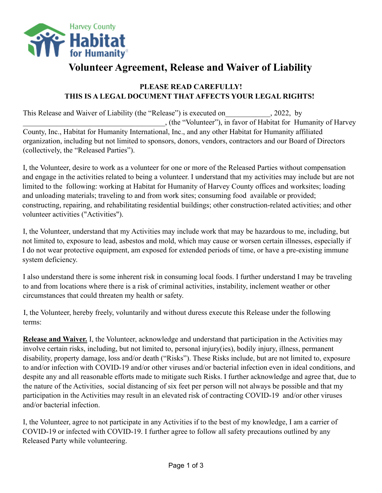

## **Volunteer Agreement, Release and Waiver of Liability**

## **PLEASE READ CAREFULLY! THIS IS A LEGAL DOCUMENT THAT AFFECTS YOUR LEGAL RIGHTS!**

This Release and Waiver of Liability (the "Release") is executed on  $\qquad \qquad$ , 2022, by \_\_\_\_\_\_\_\_\_\_\_\_\_\_\_\_\_\_\_\_\_\_\_\_\_\_\_\_\_\_\_\_\_\_\_\_\_\_, (the "Volunteer"), in favor of Habitat for Humanity of Harvey County, Inc., Habitat for Humanity International, Inc., and any other Habitat for Humanity affiliated organization, including but not limited to sponsors, donors, vendors, contractors and our Board of Directors (collectively, the "Released Parties").

I, the Volunteer, desire to work as a volunteer for one or more of the Released Parties without compensation and engage in the activities related to being a volunteer. I understand that my activities may include but are not limited to the following: working at Habitat for Humanity of Harvey County offices and worksites; loading and unloading materials; traveling to and from work sites; consuming food available or provided; constructing, repairing, and rehabilitating residential buildings; other construction-related activities; and other volunteer activities ("Activities").

I, the Volunteer, understand that my Activities may include work that may be hazardous to me, including, but not limited to, exposure to lead, asbestos and mold, which may cause or worsen certain illnesses, especially if I do not wear protective equipment, am exposed for extended periods of time, or have a pre-existing immune system deficiency.

I also understand there is some inherent risk in consuming local foods. I further understand I may be traveling to and from locations where there is a risk of criminal activities, instability, inclement weather or other circumstances that could threaten my health or safety.

I, the Volunteer, hereby freely, voluntarily and without duress execute this Release under the following terms:

**Release and Waiver.** I, the Volunteer, acknowledge and understand that participation in the Activities may involve certain risks, including, but not limited to, personal injury(ies), bodily injury, illness, permanent disability, property damage, loss and/or death ("Risks"). These Risks include, but are not limited to, exposure to and/or infection with COVID-19 and/or other viruses and/or bacterial infection even in ideal conditions, and despite any and all reasonable efforts made to mitigate such Risks. I further acknowledge and agree that, due to the nature of the Activities, social distancing of six feet per person will not always be possible and that my participation in the Activities may result in an elevated risk of contracting COVID-19 and/or other viruses and/or bacterial infection.

I, the Volunteer, agree to not participate in any Activities if to the best of my knowledge, I am a carrier of COVID-19 or infected with COVID-19. I further agree to follow all safety precautions outlined by any Released Party while volunteering.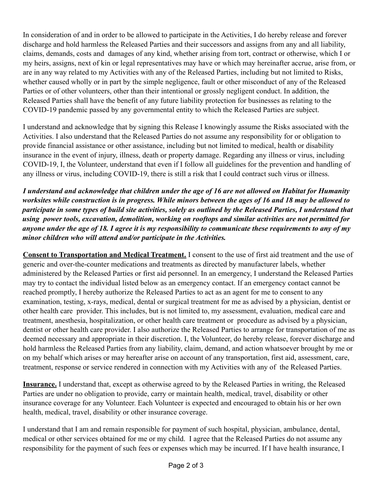In consideration of and in order to be allowed to participate in the Activities, I do hereby release and forever discharge and hold harmless the Released Parties and their successors and assigns from any and all liability, claims, demands, costs and damages of any kind, whether arising from tort, contract or otherwise, which I or my heirs, assigns, next of kin or legal representatives may have or which may hereinafter accrue, arise from, or are in any way related to my Activities with any of the Released Parties, including but not limited to Risks, whether caused wholly or in part by the simple negligence, fault or other misconduct of any of the Released Parties or of other volunteers, other than their intentional or grossly negligent conduct. In addition, the Released Parties shall have the benefit of any future liability protection for businesses as relating to the COVID-19 pandemic passed by any governmental entity to which the Released Parties are subject.

I understand and acknowledge that by signing this Release I knowingly assume the Risks associated with the Activities. I also understand that the Released Parties do not assume any responsibility for or obligation to provide financial assistance or other assistance, including but not limited to medical, health or disability insurance in the event of injury, illness, death or property damage. Regarding any illness or virus, including COVID-19, I, the Volunteer, understand that even if I follow all guidelines for the prevention and handling of any illness or virus, including COVID-19, there is still a risk that I could contract such virus or illness.

*I understand and acknowledge that children under the age of 16 are not allowed on Habitat for Humanity worksites while construction is in progress. While minors between the ages of 16 and 18 may be allowed to participate in some types of build site activities, solely as outlined by the Released Parties, I understand that using power tools, excavation, demolition, working on rooftops and similar activities are not permitted for anyone under the age of 18. I agree it is my responsibility to communicate these requirements to any of my minor children who will attend and/or participate in the Activities.*

**Consent to Transportation and Medical Treatment.** I consent to the use of first aid treatment and the use of generic and over-the-counter medications and treatments as directed by manufacturer labels, whether administered by the Released Parties or first aid personnel. In an emergency, I understand the Released Parties may try to contact the individual listed below as an emergency contact. If an emergency contact cannot be reached promptly, I hereby authorize the Released Parties to act as an agent for me to consent to any examination, testing, x-rays, medical, dental or surgical treatment for me as advised by a physician, dentist or other health care provider. This includes, but is not limited to, my assessment, evaluation, medical care and treatment, anesthesia, hospitalization, or other health care treatment or procedure as advised by a physician, dentist or other health care provider. I also authorize the Released Parties to arrange for transportation of me as deemed necessary and appropriate in their discretion. I, the Volunteer, do hereby release, forever discharge and hold harmless the Released Parties from any liability, claim, demand, and action whatsoever brought by me or on my behalf which arises or may hereafter arise on account of any transportation, first aid, assessment, care, treatment, response or service rendered in connection with my Activities with any of the Released Parties.

**Insurance.** I understand that, except as otherwise agreed to by the Released Parties in writing, the Released Parties are under no obligation to provide, carry or maintain health, medical, travel, disability or other insurance coverage for any Volunteer. Each Volunteer is expected and encouraged to obtain his or her own health, medical, travel, disability or other insurance coverage.

I understand that I am and remain responsible for payment of such hospital, physician, ambulance, dental, medical or other services obtained for me or my child. I agree that the Released Parties do not assume any responsibility for the payment of such fees or expenses which may be incurred. If I have health insurance, I